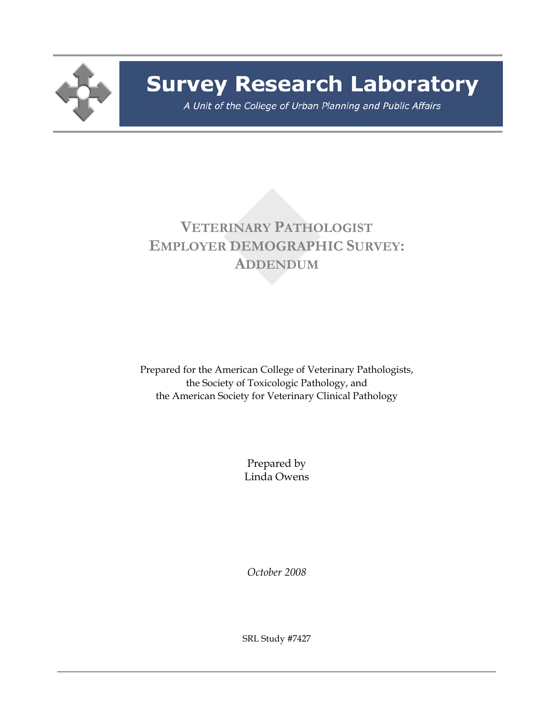

# **Survey Research Laboratory**

A Unit of the College of Urban Planning and Public Affairs

## **VETERINARY PATHOLOGIST EMPLOYER DEMOGRAPHIC SURVEY: ADDENDUM**

Prepared for the American College of Veterinary Pathologists, the Society of Toxicologic Pathology, and the American Society for Veterinary Clinical Pathology

> Prepared by Linda Owens

*October 2008* 

SRL Study #7427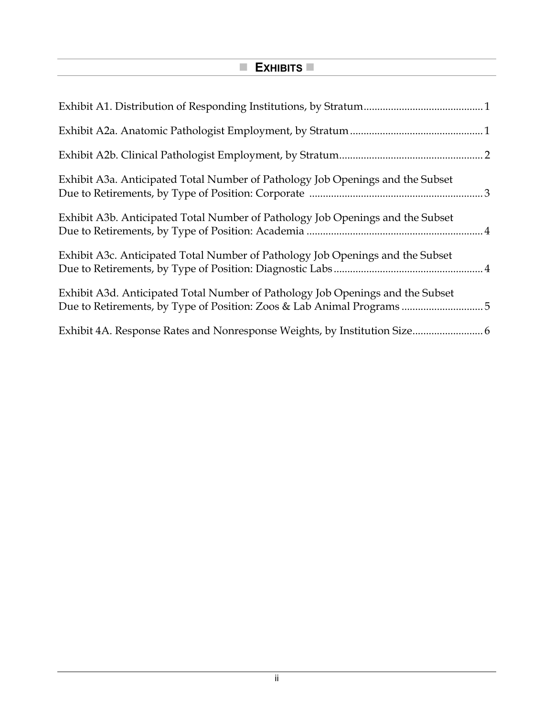### **EXHIBITS**

| Exhibit A3a. Anticipated Total Number of Pathology Job Openings and the Subset |
|--------------------------------------------------------------------------------|
| Exhibit A3b. Anticipated Total Number of Pathology Job Openings and the Subset |
| Exhibit A3c. Anticipated Total Number of Pathology Job Openings and the Subset |
| Exhibit A3d. Anticipated Total Number of Pathology Job Openings and the Subset |
|                                                                                |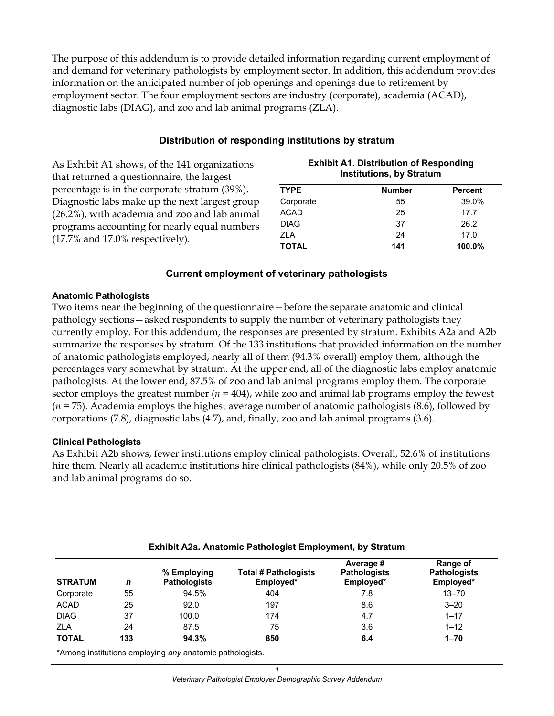The purpose of this addendum is to provide detailed information regarding current employment of and demand for veterinary pathologists by employment sector. In addition, this addendum provides information on the anticipated number of job openings and openings due to retirement by employment sector. The four employment sectors are industry (corporate), academia (ACAD), diagnostic labs (DIAG), and zoo and lab animal programs (ZLA).

#### **Distribution of responding institutions by stratum**

As Exhibit A1 shows, of the 141 organizations that returned a questionnaire, the largest percentage is in the corporate stratum (39%). Diagnostic labs make up the next largest group (26.2%), with academia and zoo and lab animal programs accounting for nearly equal numbers (17.7% and 17.0% respectively).

|              | <b>Institutions, by Stratum</b> |                |
|--------------|---------------------------------|----------------|
| <b>TYPE</b>  | <b>Number</b>                   | <b>Percent</b> |
| Corporate    | 55                              | 39.0%          |
| <b>ACAD</b>  | 25                              | 17.7           |
| <b>DIAG</b>  | 37                              | 26.2           |
| <b>ZLA</b>   | 24                              | 17.0           |
| <b>TOTAL</b> | 141                             | 100.0%         |

**Exhibit A1. Distribution of Responding** 

#### **Current employment of veterinary pathologists**

#### **Anatomic Pathologists**

Two items near the beginning of the questionnaire—before the separate anatomic and clinical pathology sections—asked respondents to supply the number of veterinary pathologists they currently employ. For this addendum, the responses are presented by stratum. Exhibits A2a and A2b summarize the responses by stratum. Of the 133 institutions that provided information on the number of anatomic pathologists employed, nearly all of them (94.3% overall) employ them, although the percentages vary somewhat by stratum. At the upper end, all of the diagnostic labs employ anatomic pathologists. At the lower end, 87.5% of zoo and lab animal programs employ them. The corporate sector employs the greatest number  $(n = 404)$ , while zoo and animal lab programs employ the fewest (*n* = 75). Academia employs the highest average number of anatomic pathologists (8.6), followed by corporations (7.8), diagnostic labs (4.7), and, finally, zoo and lab animal programs (3.6).

#### **Clinical Pathologists**

As Exhibit A2b shows, fewer institutions employ clinical pathologists. Overall, 52.6% of institutions hire them. Nearly all academic institutions hire clinical pathologists (84%), while only 20.5% of zoo and lab animal programs do so.

| <b>STRATUM</b> | n   | % Employing<br><b>Pathologists</b> | <b>Total # Pathologists</b><br>Employed* | Average #<br><b>Pathologists</b><br>Employed* | Range of<br><b>Pathologists</b><br>Employed* |
|----------------|-----|------------------------------------|------------------------------------------|-----------------------------------------------|----------------------------------------------|
| Corporate      | 55  | 94.5%                              | 404                                      | 7.8                                           | $13 - 70$                                    |
| <b>ACAD</b>    | 25  | 92.0                               | 197                                      | 8.6                                           | $3 - 20$                                     |
| <b>DIAG</b>    | 37  | 100.0                              | 174                                      | 4.7                                           | $1 - 17$                                     |
| <b>ZLA</b>     | 24  | 87.5                               | 75                                       | 3.6                                           | $1 - 12$                                     |
| <b>TOTAL</b>   | 133 | 94.3%                              | 850                                      | 6.4                                           | $1 - 70$                                     |

#### **Exhibit A2a. Anatomic Pathologist Employment, by Stratum**

\*Among institutions employing *any* anatomic pathologists.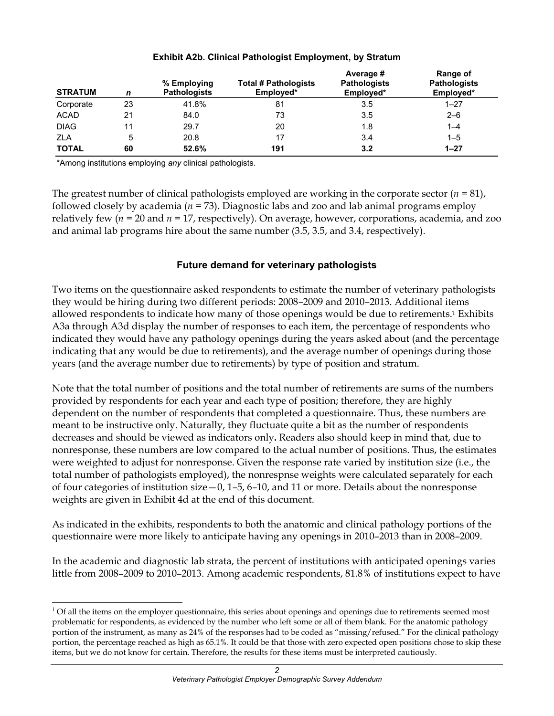| <b>STRATUM</b> | n  | % Employing<br><b>Pathologists</b> | <b>Total # Pathologists</b><br>Employed* | Average #<br><b>Pathologists</b><br>Employed* | Range of<br><b>Pathologists</b><br>Employed* |
|----------------|----|------------------------------------|------------------------------------------|-----------------------------------------------|----------------------------------------------|
| Corporate      | 23 | 41.8%                              | 81                                       | 3.5                                           | $1 - 27$                                     |
| <b>ACAD</b>    | 21 | 84.0                               | 73                                       | 3.5                                           | $2 - 6$                                      |
| <b>DIAG</b>    | 11 | 29.7                               | 20                                       | 1.8                                           | $1 - 4$                                      |
| <b>ZLA</b>     | 5  | 20.8                               | 17                                       | 3.4                                           | $1 - 5$                                      |
| <b>TOTAL</b>   | 60 | 52.6%                              | 191                                      | 3.2                                           | $1 - 27$                                     |

**Exhibit A2b. Clinical Pathologist Employment, by Stratum** 

\*Among institutions employing *any* clinical pathologists.

l

The greatest number of clinical pathologists employed are working in the corporate sector  $(n = 81)$ , followed closely by academia (*n* = 73). Diagnostic labs and zoo and lab animal programs employ relatively few (*n* = 20 and *n* = 17, respectively). On average, however, corporations, academia, and zoo and animal lab programs hire about the same number (3.5, 3.5, and 3.4, respectively).

#### **Future demand for veterinary pathologists**

Two items on the questionnaire asked respondents to estimate the number of veterinary pathologists they would be hiring during two different periods: 2008–2009 and 2010–2013. Additional items allowed respondents to indicate how many of those openings would be due to retirements.1 Exhibits A3a through A3d display the number of responses to each item, the percentage of respondents who indicated they would have any pathology openings during the years asked about (and the percentage indicating that any would be due to retirements), and the average number of openings during those years (and the average number due to retirements) by type of position and stratum.

Note that the total number of positions and the total number of retirements are sums of the numbers provided by respondents for each year and each type of position; therefore, they are highly dependent on the number of respondents that completed a questionnaire. Thus, these numbers are meant to be instructive only. Naturally, they fluctuate quite a bit as the number of respondents decreases and should be viewed as indicators only**.** Readers also should keep in mind that, due to nonresponse, these numbers are low compared to the actual number of positions. Thus, the estimates were weighted to adjust for nonresponse. Given the response rate varied by institution size (i.e., the total number of pathologists employed), the nonrespnse weights were calculated separately for each of four categories of institution size—0, 1–5, 6–10, and 11 or more. Details about the nonresponse weights are given in Exhibit 4d at the end of this document.

As indicated in the exhibits, respondents to both the anatomic and clinical pathology portions of the questionnaire were more likely to anticipate having any openings in 2010–2013 than in 2008–2009.

In the academic and diagnostic lab strata, the percent of institutions with anticipated openings varies little from 2008–2009 to 2010–2013. Among academic respondents, 81.8% of institutions expect to have

 $<sup>1</sup>$  Of all the items on the employer questionnaire, this series about openings and openings due to retirements seemed most</sup> problematic for respondents, as evidenced by the number who left some or all of them blank. For the anatomic pathology portion of the instrument, as many as 24% of the responses had to be coded as "missing/refused." For the clinical pathology portion, the percentage reached as high as 65.1%. It could be that those with zero expected open positions chose to skip these items, but we do not know for certain. Therefore, the results for these items must be interpreted cautiously.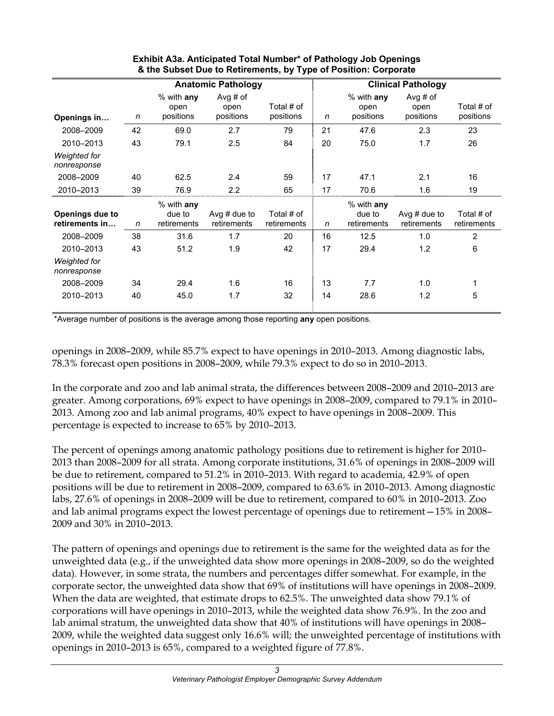|                                    |    |                                     | <b>Anatomic Pathology</b>     |                           | <b>Clinical Pathology</b> |                                       |                                 |                           |
|------------------------------------|----|-------------------------------------|-------------------------------|---------------------------|---------------------------|---------------------------------------|---------------------------------|---------------------------|
| Openings in                        | n  | % with any<br>open<br>positions     | Avg # of<br>open<br>positions | Total # of<br>positions   | $\mathsf{n}$              | % with any<br>open<br>positions       | Avg $#$ of<br>open<br>positions | Total # of<br>positions   |
| 2008-2009                          | 42 | 69.0                                | 2.7                           | 79                        | 21                        | 47.6                                  | 2.3                             | 23                        |
| 2010-2013                          | 43 | 79.1                                | 2.5                           | 84                        | 20                        | 75.0                                  | 1.7                             | 26                        |
| Weighted for<br>nonresponse        |    |                                     |                               |                           |                           |                                       |                                 |                           |
| 2008-2009                          | 40 | 62.5                                | 2.4                           | 59                        | 17                        | 47.1                                  | 2.1                             | 16                        |
| 2010-2013                          | 39 | 76.9                                | 2.2                           | 65                        | 17                        | 70.6                                  | 1.6                             | 19                        |
| Openings due to<br>retirements in  | n  | % with any<br>due to<br>retirements | Avg $#$ due to<br>retirements | Total # of<br>retirements | n                         | $%$ with any<br>due to<br>retirements | Avg $#$ due to<br>retirements   | Total # of<br>retirements |
| 2008-2009                          | 38 | 31.6                                | 1.7                           | 20                        | 16                        | 12.5                                  | 1.0                             | $\overline{2}$            |
| 2010-2013                          | 43 | 51.2                                | 1.9                           | 42                        | 17                        | 29.4                                  | 1.2                             | 6                         |
| <b>Weighted for</b><br>nonresponse |    |                                     |                               |                           |                           |                                       |                                 |                           |
| 2008-2009                          | 34 | 29.4                                | 1.6                           | 16                        | 13                        | 7.7                                   | 1.0                             | 1                         |
| 2010-2013                          | 40 | 45.0                                | 1.7                           | 32                        | 14                        | 28.6                                  | 1.2                             | 5                         |

#### **Exhibit A3a. Anticipated Total Number\* of Pathology Job Openings & the Subset Due to Retirements, by Type of Position: Corporate**

\*Average number of positions is the average among those reporting **any** open positions.

openings in 2008–2009, while 85.7% expect to have openings in 2010–2013. Among diagnostic labs, 78.3% forecast open positions in 2008–2009, while 79.3% expect to do so in 2010–2013.

In the corporate and zoo and lab animal strata, the differences between 2008–2009 and 2010–2013 are greater. Among corporations, 69% expect to have openings in 2008–2009, compared to 79.1% in 2010– 2013. Among zoo and lab animal programs, 40% expect to have openings in 2008–2009. This percentage is expected to increase to 65% by 2010–2013.

The percent of openings among anatomic pathology positions due to retirement is higher for 2010– 2013 than 2008–2009 for all strata. Among corporate institutions, 31.6% of openings in 2008–2009 will be due to retirement, compared to 51.2% in 2010–2013. With regard to academia, 42.9% of open positions will be due to retirement in 2008–2009, compared to 63.6% in 2010–2013. Among diagnostic labs, 27.6% of openings in 2008–2009 will be due to retirement, compared to 60% in 2010–2013. Zoo and lab animal programs expect the lowest percentage of openings due to retirement—15% in 2008– 2009 and 30% in 2010–2013.

The pattern of openings and openings due to retirement is the same for the weighted data as for the unweighted data (e.g., if the unweighted data show more openings in 2008–2009, so do the weighted data). However, in some strata, the numbers and percentages differ somewhat. For example, in the corporate sector, the unweighted data show that 69% of institutions will have openings in 2008–2009. When the data are weighted, that estimate drops to 62.5%. The unweighted data show 79.1% of corporations will have openings in 2010–2013, while the weighted data show 76.9%. In the zoo and lab animal stratum, the unweighted data show that 40% of institutions will have openings in 2008– 2009, while the weighted data suggest only 16.6% will; the unweighted percentage of institutions with openings in 2010–2013 is 65%, compared to a weighted figure of 77.8%.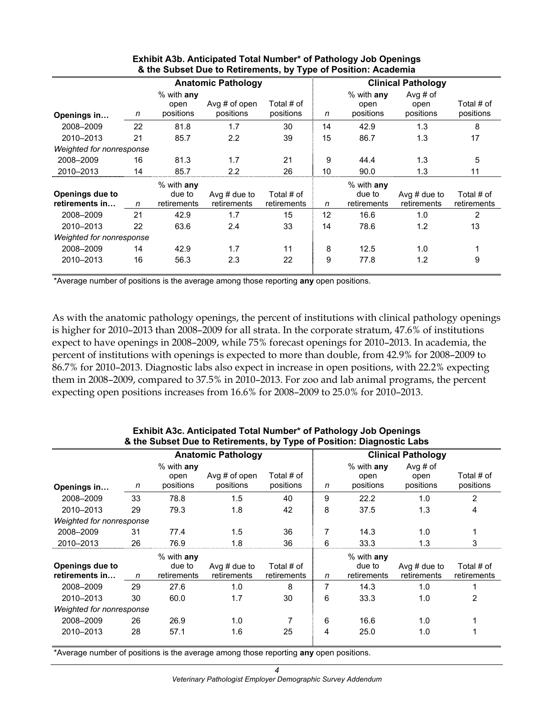|                                   | <b>Anatomic Pathology</b> |                                       |                               |                           |    |                                       | <b>Clinical Pathology</b>     |                           |  |
|-----------------------------------|---------------------------|---------------------------------------|-------------------------------|---------------------------|----|---------------------------------------|-------------------------------|---------------------------|--|
| Openings in                       | n                         | $%$ with any<br>open<br>positions     | Avg $#$ of open<br>positions  | Total # of<br>positions   | n  | $%$ with any<br>open<br>positions     | Avg # of<br>open<br>positions | Total # of<br>positions   |  |
| 2008-2009                         | 22                        | 81.8                                  | 1.7                           | 30                        | 14 | 42.9                                  | 1.3                           | 8                         |  |
| 2010-2013                         | 21                        | 85.7                                  | $2.2\phantom{0}$              | 39                        | 15 | 86.7                                  | 1.3                           | 17                        |  |
| Weighted for nonresponse          |                           |                                       |                               |                           |    |                                       |                               |                           |  |
| 2008-2009                         | 16                        | 81.3                                  | 1.7                           | 21                        | 9  | 44.4                                  | 1.3                           | 5                         |  |
| 2010-2013                         | 14                        | 85.7                                  | 2.2                           | 26                        | 10 | 90.0                                  | 1.3                           | 11                        |  |
| Openings due to<br>retirements in | n                         | $%$ with any<br>due to<br>retirements | Avg $#$ due to<br>retirements | Total # of<br>retirements | n  | $%$ with any<br>due to<br>retirements | Avg $#$ due to<br>retirements | Total # of<br>retirements |  |
| 2008-2009                         | 21                        | 42.9                                  | 1.7                           | 15                        | 12 | 16.6                                  | 1.0                           | 2                         |  |
| 2010-2013                         | 22                        | 63.6                                  | 2.4                           | 33                        | 14 | 78.6                                  | 1.2                           | 13                        |  |
| Weighted for nonresponse          |                           |                                       |                               |                           |    |                                       |                               |                           |  |
| 2008-2009                         | 14                        | 42.9                                  | 1.7                           | 11                        | 8  | 12.5                                  | 1.0                           |                           |  |
| 2010-2013                         | 16                        | 56.3                                  | 2.3                           | 22                        | 9  | 77.8                                  | 1.2                           | 9                         |  |

#### **Exhibit A3b. Anticipated Total Number\* of Pathology Job Openings & the Subset Due to Retirements, by Type of Position: Academia**

\*Average number of positions is the average among those reporting **any** open positions.

As with the anatomic pathology openings, the percent of institutions with clinical pathology openings is higher for 2010–2013 than 2008–2009 for all strata. In the corporate stratum, 47.6% of institutions expect to have openings in 2008–2009, while 75% forecast openings for 2010–2013. In academia, the percent of institutions with openings is expected to more than double, from 42.9% for 2008–2009 to 86.7% for 2010–2013. Diagnostic labs also expect in increase in open positions, with 22.2% expecting them in 2008–2009, compared to 37.5% in 2010–2013. For zoo and lab animal programs, the percent expecting open positions increases from 16.6% for 2008–2009 to 25.0% for 2010–2013.

|                                   |                           |                                        | & the Subset Due to Retirements, by Type of Position: Diagnostic Labs |                           |   |                                       |                               |                           |  |  |
|-----------------------------------|---------------------------|----------------------------------------|-----------------------------------------------------------------------|---------------------------|---|---------------------------------------|-------------------------------|---------------------------|--|--|
|                                   | <b>Anatomic Pathology</b> |                                        |                                                                       |                           |   |                                       | <b>Clinical Pathology</b>     |                           |  |  |
| Openings in                       | n                         | $%$ with any<br>open<br>positions      | Avg $#$ of open<br>positions                                          | Total # of<br>positions   | n | $%$ with any<br>open<br>positions     | Avg # of<br>open<br>positions | Total # of<br>positions   |  |  |
| 2008-2009                         | 33                        | 78.8                                   | 1.5                                                                   | 40                        | 9 | 22.2                                  | 1.0                           | $\overline{2}$            |  |  |
| 2010-2013                         | 29                        | 79.3                                   | 1.8                                                                   | 42                        | 8 | 37.5                                  | 1.3                           | 4                         |  |  |
| <b>Weighted for nonresponse</b>   |                           |                                        |                                                                       |                           |   |                                       |                               |                           |  |  |
| 2008-2009                         | 31                        | 77.4                                   | 1.5                                                                   | 36                        | 7 | 14.3                                  | 1.0                           |                           |  |  |
| 2010-2013                         | 26                        | 76.9                                   | 1.8                                                                   | 36                        | 6 | 33.3                                  | 1.3                           | 3                         |  |  |
| Openings due to<br>retirements in | n                         | $\%$ with any<br>due to<br>retirements | Avg $#$ due to<br>retirements                                         | Total # of<br>retirements | n | $%$ with any<br>due to<br>retirements | Avg $#$ due to<br>retirements | Total # of<br>retirements |  |  |
| 2008-2009                         | 29                        | 27.6                                   | 1.0                                                                   | 8                         | 7 | 14.3                                  | 1.0                           |                           |  |  |
| 2010-2013                         | 30                        | 60.0                                   | 1.7                                                                   | 30                        | 6 | 33.3                                  | 1.0                           | 2                         |  |  |
| Weighted for nonresponse          |                           |                                        |                                                                       |                           |   |                                       |                               |                           |  |  |
| 2008-2009                         | 26                        | 26.9                                   | 1.0                                                                   |                           | 6 | 16.6                                  | 1.0                           |                           |  |  |
| 2010-2013                         | 28                        | 57.1                                   | 1.6                                                                   | 25                        | 4 | 25.0                                  | 1.0                           |                           |  |  |

#### **Exhibit A3c. Anticipated Total Number\* of Pathology Job Openings & the Subset Due to Retirements, by Type of Position: Diagnostic Labs**

\*Average number of positions is the average among those reporting **any** open positions.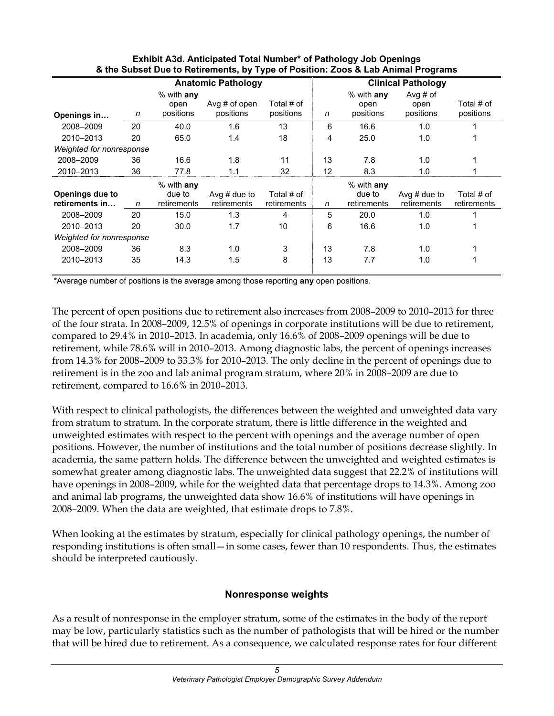|                          |    |                                   | <b>Anatomic Pathology</b>    |                         |    |                                   | <b>Clinical Pathology</b>       |                         |
|--------------------------|----|-----------------------------------|------------------------------|-------------------------|----|-----------------------------------|---------------------------------|-------------------------|
| Openings in              | n  | $%$ with any<br>open<br>positions | Avg $#$ of open<br>positions | Total # of<br>positions | n  | $%$ with any<br>open<br>positions | Avg $#$ of<br>open<br>positions | Total # of<br>positions |
| 2008-2009                | 20 | 40.0                              | 1.6                          | 13                      | 6  | 16.6                              | 1.0                             |                         |
| 2010-2013                | 20 | 65.0                              | 1.4                          | 18                      | 4  | 25.0                              | 1.0                             |                         |
| Weighted for nonresponse |    |                                   |                              |                         |    |                                   |                                 |                         |
| 2008-2009                | 36 | 16.6                              | 1.8                          | 11                      | 13 | 7.8                               | 1.0                             |                         |
| 2010-2013                | 36 | 77.8                              | 1.1                          | 32                      | 12 | 8.3                               | 1.0                             |                         |
| Openings due to          |    | $%$ with any<br>due to            | Avg $#$ due to               | Total # of              |    | $%$ with any<br>due to            | Avg $#$ due to                  | Total # of              |
| retirements in           | n  | retirements                       | retirements                  | retirements             | n  | retirements                       | retirements                     | retirements             |
| 2008-2009                | 20 | 15.0                              | 1.3                          | 4                       | 5  | 20.0                              | 1.0                             |                         |
| 2010-2013                | 20 | 30.0                              | 1.7                          | 10                      | 6  | 16.6                              | 1.0                             |                         |
| Weighted for nonresponse |    |                                   |                              |                         |    |                                   |                                 |                         |
| 2008-2009                | 36 | 8.3                               | 1.0                          | 3                       | 13 | 7.8                               | 1.0                             |                         |
| 2010-2013                | 35 | 14.3                              | 1.5                          | 8                       | 13 | 7.7                               | 1.0                             |                         |

#### **Exhibit A3d. Anticipated Total Number\* of Pathology Job Openings & the Subset Due to Retirements, by Type of Position: Zoos & Lab Animal Programs**

\*Average number of positions is the average among those reporting **any** open positions.

The percent of open positions due to retirement also increases from 2008–2009 to 2010–2013 for three of the four strata. In 2008–2009, 12.5% of openings in corporate institutions will be due to retirement, compared to 29.4% in 2010–2013. In academia, only 16.6% of 2008–2009 openings will be due to retirement, while 78.6% will in 2010–2013. Among diagnostic labs, the percent of openings increases from 14.3% for 2008–2009 to 33.3% for 2010–2013. The only decline in the percent of openings due to retirement is in the zoo and lab animal program stratum, where 20% in 2008–2009 are due to retirement, compared to 16.6% in 2010–2013.

With respect to clinical pathologists, the differences between the weighted and unweighted data vary from stratum to stratum. In the corporate stratum, there is little difference in the weighted and unweighted estimates with respect to the percent with openings and the average number of open positions. However, the number of institutions and the total number of positions decrease slightly. In academia, the same pattern holds. The difference between the unweighted and weighted estimates is somewhat greater among diagnostic labs. The unweighted data suggest that 22.2% of institutions will have openings in 2008–2009, while for the weighted data that percentage drops to 14.3%. Among zoo and animal lab programs, the unweighted data show 16.6% of institutions will have openings in 2008–2009. When the data are weighted, that estimate drops to 7.8%.

When looking at the estimates by stratum, especially for clinical pathology openings, the number of responding institutions is often small—in some cases, fewer than 10 respondents. Thus, the estimates should be interpreted cautiously.

#### **Nonresponse weights**

As a result of nonresponse in the employer stratum, some of the estimates in the body of the report may be low, particularly statistics such as the number of pathologists that will be hired or the number that will be hired due to retirement. As a consequence, we calculated response rates for four different